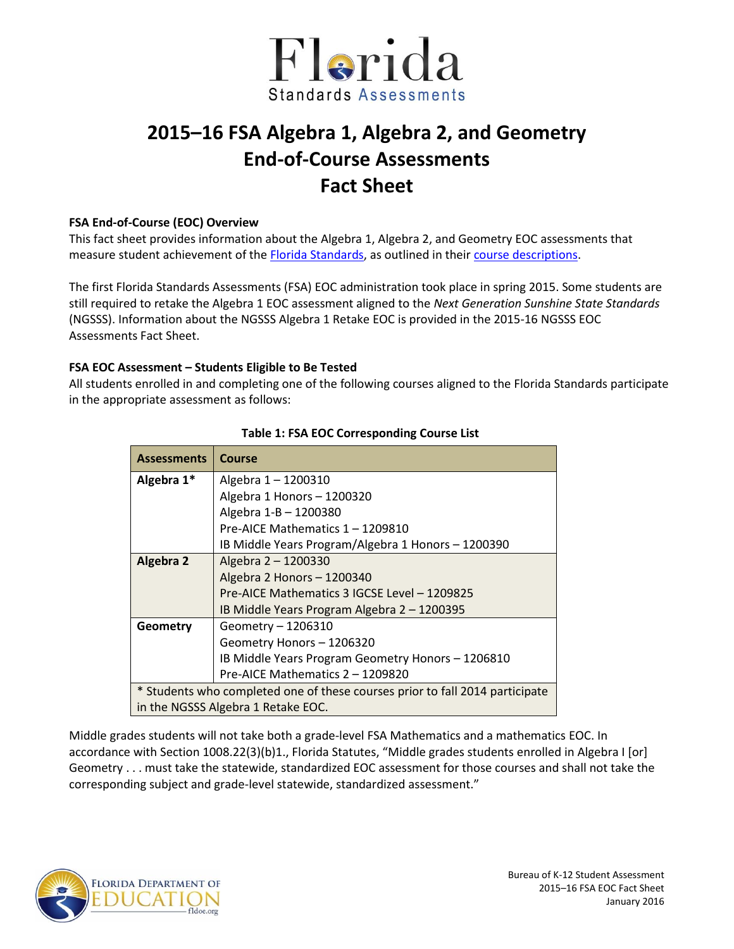

# **2015–16 FSA Algebra 1, Algebra 2, and Geometry End-of-Course Assessments Fact Sheet**

## **FSA End-of-Course (EOC) Overview**

This fact sheet provides information about the Algebra 1, Algebra 2, and Geometry EOC assessments that measure student achievement of the **Florida Standards**, as outlined in their [course descriptions.](http://www.cpalms.org/Public/search/Course#0)

The first Florida Standards Assessments (FSA) EOC administration took place in spring 2015. Some students are still required to retake the Algebra 1 EOC assessment aligned to the *Next Generation Sunshine State Standards* (NGSSS). Information about the NGSSS Algebra 1 Retake EOC is provided in the 2015-16 NGSSS EOC Assessments Fact Sheet.

## **FSA EOC Assessment – Students Eligible to Be Tested**

All students enrolled in and completing one of the following courses aligned to the Florida Standards participate in the appropriate assessment as follows:

| <b>Assessments</b>                                                           | Course                                             |  |  |  |  |
|------------------------------------------------------------------------------|----------------------------------------------------|--|--|--|--|
| Algebra 1*                                                                   | Algebra 1-1200310                                  |  |  |  |  |
|                                                                              | Algebra 1 Honors - 1200320                         |  |  |  |  |
|                                                                              | Algebra 1-B - 1200380                              |  |  |  |  |
|                                                                              | Pre-AICE Mathematics 1 - 1209810                   |  |  |  |  |
|                                                                              | IB Middle Years Program/Algebra 1 Honors - 1200390 |  |  |  |  |
| <b>Algebra 2</b>                                                             | Algebra 2 - 1200330                                |  |  |  |  |
|                                                                              | Algebra 2 Honors - 1200340                         |  |  |  |  |
|                                                                              | Pre-AICE Mathematics 3 IGCSE Level - 1209825       |  |  |  |  |
|                                                                              | IB Middle Years Program Algebra 2 - 1200395        |  |  |  |  |
| Geometry                                                                     | Geometry - 1206310                                 |  |  |  |  |
|                                                                              | Geometry Honors - 1206320                          |  |  |  |  |
|                                                                              | IB Middle Years Program Geometry Honors - 1206810  |  |  |  |  |
|                                                                              | Pre-AICE Mathematics 2 - 1209820                   |  |  |  |  |
| * Students who completed one of these courses prior to fall 2014 participate |                                                    |  |  |  |  |
| in the NGSSS Algebra 1 Retake EOC.                                           |                                                    |  |  |  |  |

## **Table 1: FSA EOC Corresponding Course List**

Middle grades students will not take both a grade-level FSA Mathematics and a mathematics EOC. In accordance with Section 1008.22(3)(b)1., Florida Statutes, "Middle grades students enrolled in Algebra I [or] Geometry . . . must take the statewide, standardized EOC assessment for those courses and shall not take the corresponding subject and grade-level statewide, standardized assessment."

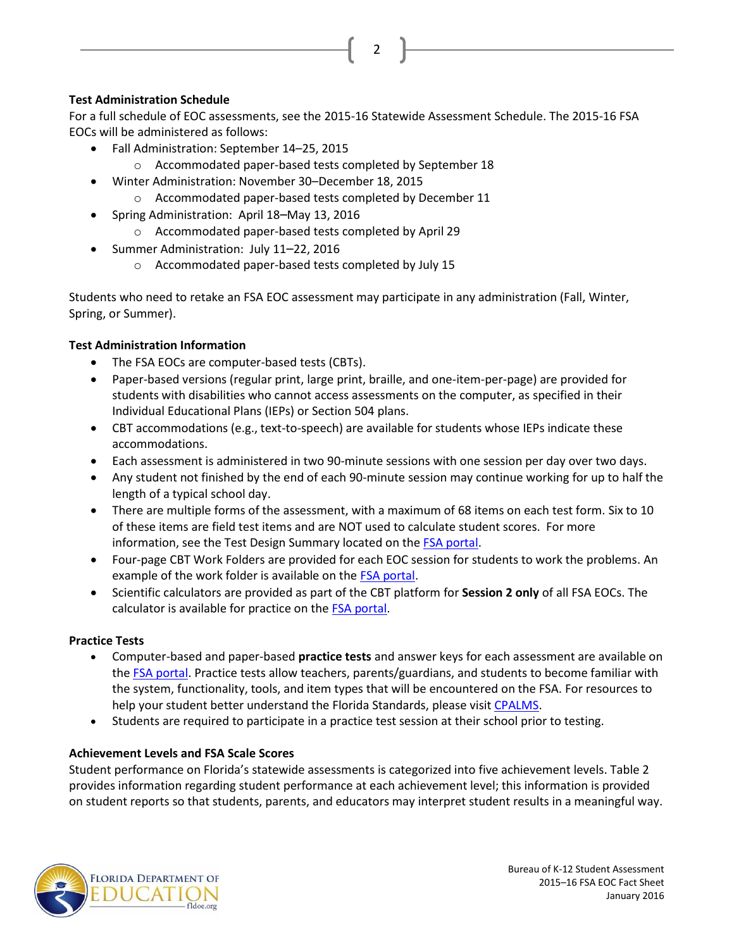# **Test Administration Schedule**

For a full schedule of EOC assessments, see the 2015-16 Statewide Assessment Schedule. The 2015-16 FSA EOCs will be administered as follows:

- Fall Administration: September 14–25, 2015
	- o Accommodated paper-based tests completed by September 18
- Winter Administration: November 30–December 18, 2015
	- o Accommodated paper-based tests completed by December 11
- Spring Administration: April 18–May 13, 2016
	- o Accommodated paper-based tests completed by April 29
- Summer Administration: July 11–22, 2016
	- o Accommodated paper-based tests completed by July 15

Students who need to retake an FSA EOC assessment may participate in any administration (Fall, Winter, Spring, or Summer).

# **Test Administration Information**

- The FSA EOCs are computer-based tests (CBTs).
- Paper-based versions (regular print, large print, braille, and one-item-per-page) are provided for students with disabilities who cannot access assessments on the computer, as specified in their Individual Educational Plans (IEPs) or Section 504 plans.
- CBT accommodations (e.g., text-to-speech) are available for students whose IEPs indicate these accommodations.
- Each assessment is administered in two 90-minute sessions with one session per day over two days.
- Any student not finished by the end of each 90-minute session may continue working for up to half the length of a typical school day.
- There are multiple forms of the assessment, with a maximum of 68 items on each test form. Six to 10 of these items are field test items and are NOT used to calculate student scores. For more information, see the Test Design Summary located on the [FSA portal.](http://www.fsassessments.org/)
- Four-page CBT Work Folders are provided for each EOC session for students to work the problems. An example of the work folder is available on the [FSA portal.](http://fsassessments.org/)
- Scientific calculators are provided as part of the CBT platform for **Session 2 only** of all FSA EOCs. The calculator is available for practice on the **FSA portal**.

#### **Practice Tests**

- Computer-based and paper-based **practice tests** and answer keys for each assessment are available on the [FSA portal.](http://fsassessments.org/) Practice tests allow teachers, parents/guardians, and students to become familiar with the system, functionality, tools, and item types that will be encountered on the FSA. For resources to help your student better understand the Florida Standards, please visi[t CPALMS.](http://www.floridastandards.org/)
- Students are required to participate in a practice test session at their school prior to testing.

#### **Achievement Levels and FSA Scale Scores**

Student performance on Florida's statewide assessments is categorized into five achievement levels. Table 2 provides information regarding student performance at each achievement level; this information is provided on student reports so that students, parents, and educators may interpret student results in a meaningful way.



2